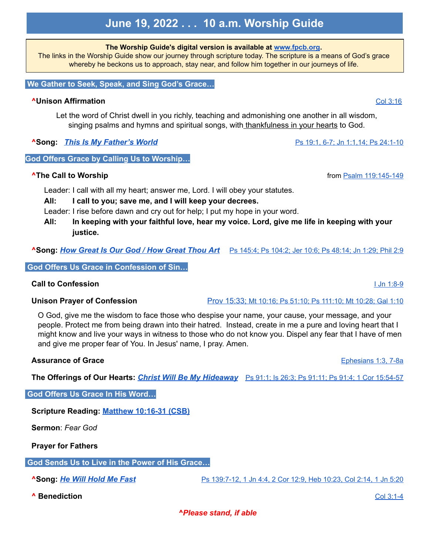# **June 19, 2022 . . . 10 a.m. Worship Guide**

**The Worship Guide's digital version is available at [www.fpcb.org.](http://www.fpcb.org/)**

The links in the Worship Guide show our journey through scripture today. The scripture is a means of God's grace whereby he beckons us to approach, stay near, and follow him together in our journeys of life.

#### **We Gather to Seek, Speak, and Sing God's Grace…**

## **^Unison Affirmation** Col [3:16](https://www.biblegateway.com/passage/?search=Col+3%3A16&version=CSB)

Let the word of Christ dwell in you richly, teaching and admonishing one another in all wisdom, singing psalms and hymns and spiritual songs, with thankfulness in your hearts to God.

**^Song:** *This Is My [Father's](https://youtu.be/LeJw_Lm9ohY) World* Ps 19:1, 6-7; Jn 1:1,14; Ps [24:1-10](https://www.biblegateway.com/passage/?search=Ps+19%3A1%2C+6-7%3B+Jn+1%3A1%2C14%3B+Ps+24%3A1-10&version=CSB)

# **God Offers Grace by Calling Us to Worship…**

# **^The Call to Worship** from Psalm [119:145-149](https://www.biblegateway.com/passage/?search=Psalm+119%3A145-149&version=CSB)

Leader: I call with all my heart; answer me, Lord. I will obey your statutes.

- **All: I call to you; save me, and I will keep your decrees.**
- Leader: I rise before dawn and cry out for help; I put my hope in your word.
- **All: In keeping with your faithful love, hear my voice. Lord, give me life in keeping with your justice.**

**^Song:** *How Great Is Our God / How [Great](https://youtu.be/KBD18rsVJHk) Thou Art* Ps [145:4;](https://www.biblegateway.com/passage/?search=Ps+145%3A4%3B+Ps+104%3A2%3B+Jer+10%3A6%3B+Ps+48%3A14%3B+Jn+1%3A29%3B+Phil+2%3A9&version=CSB) Ps 104:2; Jer 10:6; Ps 48:14; Jn 1:29; Phil 2:9

**God Offers Us Grace in Confession of Sin…**

# **Call to Confession** I Jn [1:8-9](https://www.biblegateway.com/passage/?search=1+John+1%3A8-9&version=CSB)

O God, give me the wisdom to face those who despise your name, your cause, your message, and your people. Protect me from being drawn into their hatred. Instead, create in me a pure and loving heart that I might know and live your ways in witness to those who do not know you. Dispel any fear that I have of men and give me proper fear of You. In Jesus' name, I pray. Amen.

### **Assurance of Grace** [Ephesians](https://www.biblegateway.com/passage/?search=Ephesians+1%3A3%2C+7-8a&version=CSB) 1:3, 7-8a

**The Offerings of Our Hearts:** *Christ Will Be My [Hideaway](https://youtu.be/_LU8mVK_33Q)* Ps 91:1; Is 26:3; Ps 91:11; Ps 91:4; 1 Cor [15:54-57](https://www.biblegateway.com/passage/?search=Ps+91%3A1%3B+Is+26%3A3%3B+Ps+91%3A11%3B+Ps+91%3A4%3B+1+Cor+15%3A54-57&version=CSB)

### **God Offers Us Grace In His Word…**

**Scripture Reading: Matthew [10:16-31](https://www.biblegateway.com/passage/?search=+Matthew+10%3A16-31&version=CSB) (CSB)**

**Sermon**: *Fear God*

**Prayer for Fathers**

**God Sends Us to Live in the Power of His Grace…**

**^Song:** *He Will [Hold](https://youtu.be/MPC-aBdIu0o) Me Fast* Ps [139:7-12,](https://www.biblegateway.com/passage/?search=Ps+139%3A7-12%2C+1+Jn+4%3A4%2C+2+Cor+12%3A9%2C+Heb+10%3A23%2C+Col+2%3A14%2C+1+Jn+5%3A20&version=CSB) 1 Jn 4:4, 2 Cor 12:9, Heb 10:23, Col 2:14, 1 Jn 5:20

**^ Benediction** Col [3:1-4](https://www.biblegateway.com/passage/?search=Colossians+3%3A1-4&version=CSB)

*^Please stand, if able*

**Unison Prayer of Confession Prov [15:33;](https://www.biblegateway.com/passage/?search=Prov+15%3A33%3B+Mt+10%3A16%3B+Ps+51%3A10%3B+Ps+111%3A10%3B+Mt+10%3A28%3B+Gal+1%3A10&version=CSB) Mt 10:16; Ps 51:10; Ps 111:10; Mt 10:28; Gal 1:10**